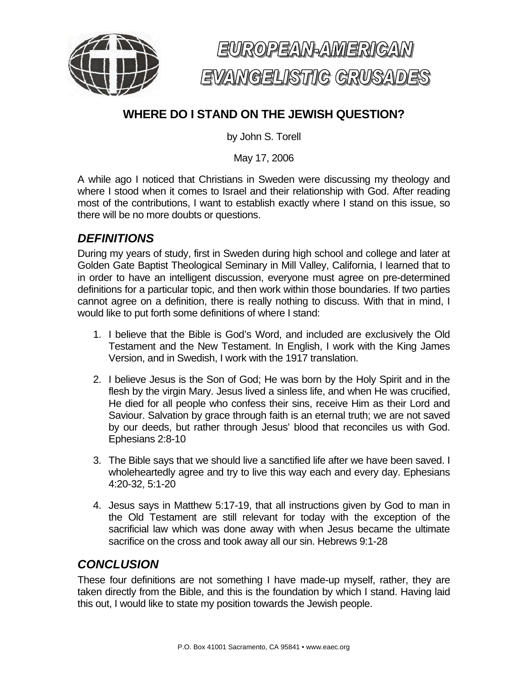



# **WHERE DO I STAND ON THE JEWISH QUESTION?**

by John S. Torell

May 17, 2006

A while ago I noticed that Christians in Sweden were discussing my theology and where I stood when it comes to Israel and their relationship with God. After reading most of the contributions, I want to establish exactly where I stand on this issue, so there will be no more doubts or questions.

#### *DEFINITIONS*

During my years of study, first in Sweden during high school and college and later at Golden Gate Baptist Theological Seminary in Mill Valley, California, I learned that to in order to have an intelligent discussion, everyone must agree on pre-determined definitions for a particular topic, and then work within those boundaries. If two parties cannot agree on a definition, there is really nothing to discuss. With that in mind, I would like to put forth some definitions of where I stand:

- 1. I believe that the Bible is God's Word, and included are exclusively the Old Testament and the New Testament. In English, I work with the King James Version, and in Swedish, I work with the 1917 translation.
- 2. I believe Jesus is the Son of God; He was born by the Holy Spirit and in the flesh by the virgin Mary. Jesus lived a sinless life, and when He was crucified, He died for all people who confess their sins, receive Him as their Lord and Saviour. Salvation by grace through faith is an eternal truth; we are not saved by our deeds, but rather through Jesus' blood that reconciles us with God. Ephesians 2:8-10
- 3. The Bible says that we should live a sanctified life after we have been saved. I wholeheartedly agree and try to live this way each and every day. Ephesians 4:20-32, 5:1-20
- 4. Jesus says in Matthew 5:17-19, that all instructions given by God to man in the Old Testament are still relevant for today with the exception of the sacrificial law which was done away with when Jesus became the ultimate sacrifice on the cross and took away all our sin. Hebrews 9:1-28

# *CONCLUSION*

These four definitions are not something I have made-up myself, rather, they are taken directly from the Bible, and this is the foundation by which I stand. Having laid this out, I would like to state my position towards the Jewish people.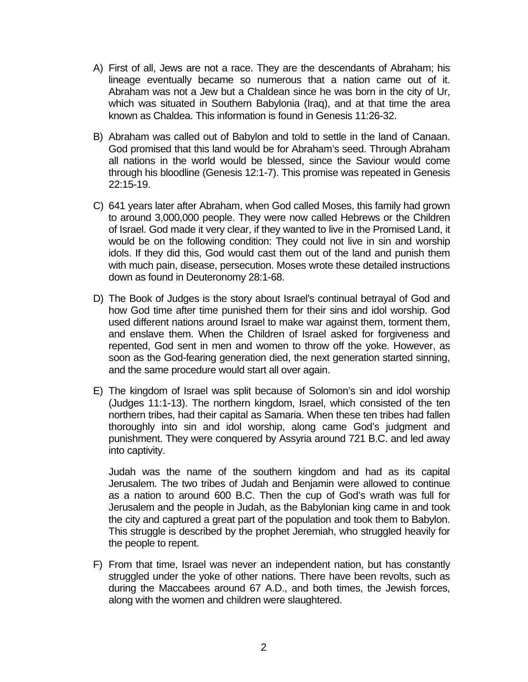- A) First of all, Jews are not a race. They are the descendants of Abraham; his lineage eventually became so numerous that a nation came out of it. Abraham was not a Jew but a Chaldean since he was born in the city of Ur, which was situated in Southern Babylonia (Iraq), and at that time the area known as Chaldea. This information is found in Genesis 11:26-32.
- B) Abraham was called out of Babylon and told to settle in the land of Canaan. God promised that this land would be for Abraham's seed. Through Abraham all nations in the world would be blessed, since the Saviour would come through his bloodline (Genesis 12:1-7). This promise was repeated in Genesis 22:15-19.
- C) 641 years later after Abraham, when God called Moses, this family had grown to around 3,000,000 people. They were now called Hebrews or the Children of Israel. God made it very clear, if they wanted to live in the Promised Land, it would be on the following condition: They could not live in sin and worship idols. If they did this, God would cast them out of the land and punish them with much pain, disease, persecution. Moses wrote these detailed instructions down as found in Deuteronomy 28:1-68.
- D) The Book of Judges is the story about Israel's continual betrayal of God and how God time after time punished them for their sins and idol worship. God used different nations around Israel to make war against them, torment them, and enslave them. When the Children of Israel asked for forgiveness and repented, God sent in men and women to throw off the yoke. However, as soon as the God-fearing generation died, the next generation started sinning, and the same procedure would start all over again.
- E) The kingdom of Israel was split because of Solomon's sin and idol worship (Judges 11:1-13). The northern kingdom, Israel, which consisted of the ten northern tribes, had their capital as Samaria. When these ten tribes had fallen thoroughly into sin and idol worship, along came God's judgment and punishment. They were conquered by Assyria around 721 B.C. and led away into captivity.

Judah was the name of the southern kingdom and had as its capital Jerusalem. The two tribes of Judah and Benjamin were allowed to continue as a nation to around 600 B.C. Then the cup of God's wrath was full for Jerusalem and the people in Judah, as the Babylonian king came in and took the city and captured a great part of the population and took them to Babylon. This struggle is described by the prophet Jeremiah, who struggled heavily for the people to repent.

F) From that time, Israel was never an independent nation, but has constantly struggled under the yoke of other nations. There have been revolts, such as during the Maccabees around 67 A.D., and both times, the Jewish forces, along with the women and children were slaughtered.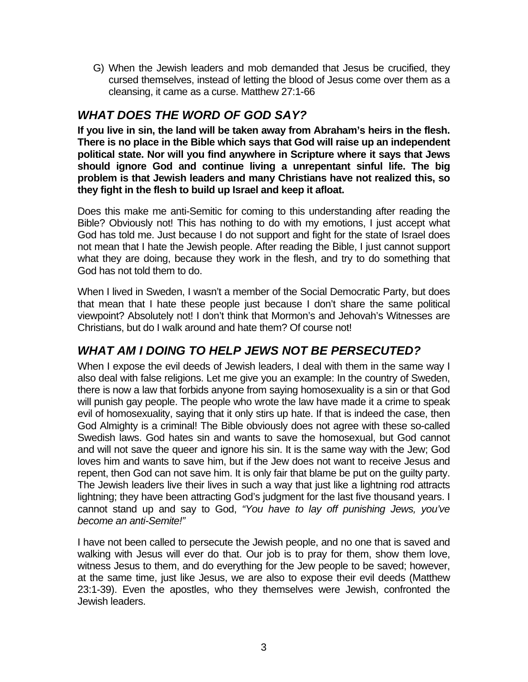G) When the Jewish leaders and mob demanded that Jesus be crucified, they cursed themselves, instead of letting the blood of Jesus come over them as a cleansing, it came as a curse. Matthew 27:1-66

### *WHAT DOES THE WORD OF GOD SAY?*

**If you live in sin, the land will be taken away from Abraham's heirs in the flesh. There is no place in the Bible which says that God will raise up an independent political state. Nor will you find anywhere in Scripture where it says that Jews should ignore God and continue living a unrepentant sinful life. The big problem is that Jewish leaders and many Christians have not realized this, so they fight in the flesh to build up Israel and keep it afloat.** 

Does this make me anti-Semitic for coming to this understanding after reading the Bible? Obviously not! This has nothing to do with my emotions, I just accept what God has told me. Just because I do not support and fight for the state of Israel does not mean that I hate the Jewish people. After reading the Bible, I just cannot support what they are doing, because they work in the flesh, and try to do something that God has not told them to do.

When I lived in Sweden, I wasn't a member of the Social Democratic Party, but does that mean that I hate these people just because I don't share the same political viewpoint? Absolutely not! I don't think that Mormon's and Jehovah's Witnesses are Christians, but do I walk around and hate them? Of course not!

# *WHAT AM I DOING TO HELP JEWS NOT BE PERSECUTED?*

When I expose the evil deeds of Jewish leaders, I deal with them in the same way I also deal with false religions. Let me give you an example: In the country of Sweden, there is now a law that forbids anyone from saying homosexuality is a sin or that God will punish gay people. The people who wrote the law have made it a crime to speak evil of homosexuality, saying that it only stirs up hate. If that is indeed the case, then God Almighty is a criminal! The Bible obviously does not agree with these so-called Swedish laws. God hates sin and wants to save the homosexual, but God cannot and will not save the queer and ignore his sin. It is the same way with the Jew; God loves him and wants to save him, but if the Jew does not want to receive Jesus and repent, then God can not save him. It is only fair that blame be put on the guilty party. The Jewish leaders live their lives in such a way that just like a lightning rod attracts lightning; they have been attracting God's judgment for the last five thousand years. I cannot stand up and say to God, *"You have to lay off punishing Jews, you've become an anti-Semite!"*

I have not been called to persecute the Jewish people, and no one that is saved and walking with Jesus will ever do that. Our job is to pray for them, show them love, witness Jesus to them, and do everything for the Jew people to be saved; however, at the same time, just like Jesus, we are also to expose their evil deeds (Matthew 23:1-39). Even the apostles, who they themselves were Jewish, confronted the Jewish leaders.